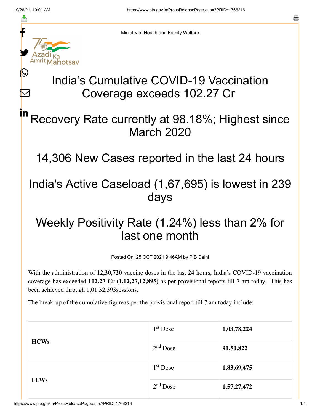≛

 $\bm{\nabla}$ 



Ministry of Health and Family Welfare

# India's Cumulative COVID-19 Vaccination Coverage exceeds 102.27 Cr

### Recovery Rate currently at 98.18%; Highest since March 2020 in

14,306 New Cases reported in the last 24 hours

### India's Active Caseload (1,67,695) is lowest in 239 days

## Weekly Positivity Rate (1.24%) less than 2% for last one month

Posted On: 25 OCT 2021 9:46AM by PIB Delhi

With the administration of **12,30,720** vaccine doses in the last 24 hours, India's COVID-19 vaccination coverage has exceeded **102.27 Cr (1,02,27,12,895)** as per provisional reports till 7 am today. This has been achieved through 1,01,52,393sessions.

The break-up of the cumulative figureas per the provisional report till 7 am today include:

| <b>HCWs</b> | $1st$ Dose | 1,03,78,224 |
|-------------|------------|-------------|
|             | $2nd$ Dose | 91,50,822   |
| <b>FLWs</b> | $1st$ Dose | 1,83,69,475 |
|             | $2nd$ Dose | 1,57,27,472 |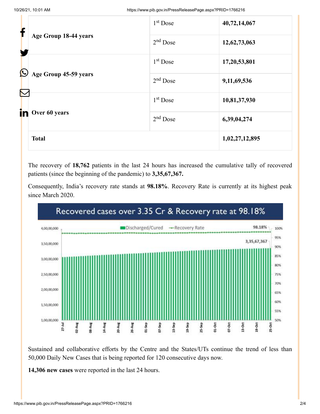| f          |                                            | 1 <sup>st</sup> Dose | 40,72,14,067   |
|------------|--------------------------------------------|----------------------|----------------|
|            | Age Group 18-44 years                      | $2nd$ Dose           | 12,62,73,063   |
| $\bigcirc$ |                                            | $1st$ Dose           | 17,20,53,801   |
|            | Age Group 45-59 years<br>$\color{red}\sum$ | $2nd$ Dose           | 9,11,69,536    |
|            |                                            | $1st$ Dose           | 10,81,37,930   |
| in         | Over 60 years                              | $2nd$ Dose           | 6,39,04,274    |
|            | <b>Total</b>                               |                      | 1,02,27,12,895 |

The recovery of **18,762** patients in the last 24 hours has increased the cumulative tally of recovered patients (since the beginning of the pandemic) to **3,35,67,367.**

Consequently, India's recovery rate stands at **98.18%**. Recovery Rate is currently at its highest peak since March 2020.



Sustained and collaborative efforts by the Centre and the States/UTs continue the trend of less than 50,000 Daily New Cases that is being reported for 120 consecutive days now.

**14,306 new cases** were reported in the last 24 hours.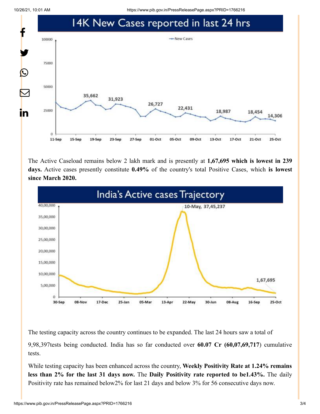10/26/21, 10:01 AM https://www.pib.gov.in/PressReleasePage.aspx?PRID=1766216



The Active Caseload remains below 2 lakh mark and is presently at **1,67,695 which is lowest in 239 days.** Active cases presently constitute **0.49%** of the country's total Positive Cases, which **is lowest since March 2020.**



The testing capacity across the country continues to be expanded. The last 24 hours saw a total of 9,98,397tests being conducted. India has so far conducted over **60.07 Cr (60,07,69,717**) cumulative tests.

While testing capacity has been enhanced across the country, **Weekly Positivity Rate at 1.24% remains less than 2% for the last 31 days now.** The **Daily Positivity rate reported to be1.43%.** The daily Positivity rate has remained below2% for last 21 days and below 3% for 56 consecutive days now.